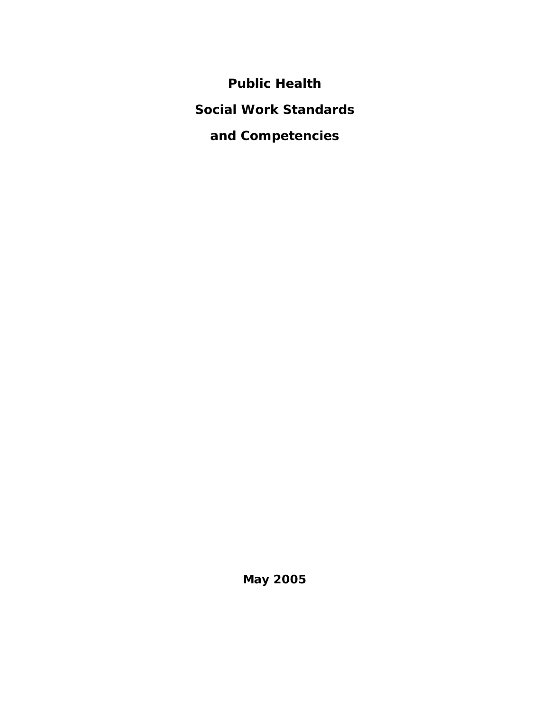**Public Health Social Work Standards and Competencies** 

**May 2005**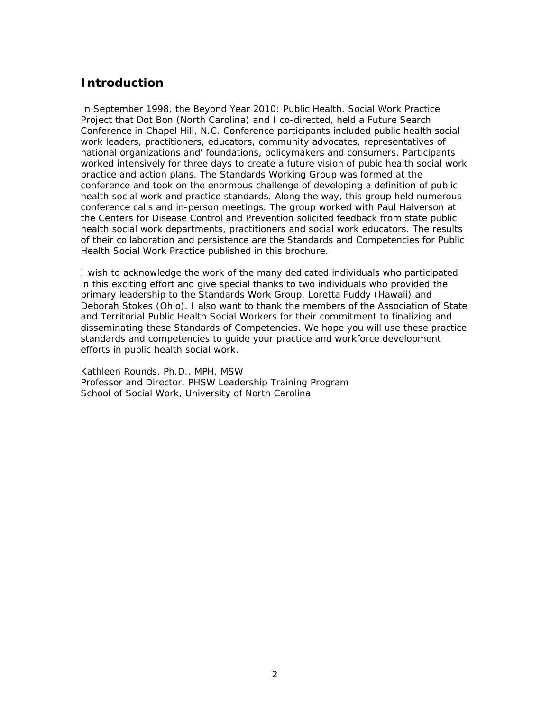### **Introduction**

In September 1998, the Beyond Year 2010: Public Health. Social Work Practice Project that Dot Bon (North Carolina) and I co-directed, held a Future Search Conference in Chapel Hill, N.C. Conference participants included public health social work leaders, practitioners, educators, community advocates, representatives of national organizations and' foundations, policymakers and consumers. Participants worked intensively for three days to create a future vision of pubic health social work practice and action plans. The Standards Working Group was formed at the conference and took on the enormous challenge of developing a definition of public health social work and practice standards. Along the way, this group held numerous conference calls and in-person meetings. The group worked with Paul Halverson at the Centers for Disease Control and Prevention solicited feedback from state public health social work departments, practitioners and social work educators. The results of their collaboration and persistence are the Standards and Competencies for Public Health Social Work Practice published in this brochure.

I wish to acknowledge the work of the many dedicated individuals who participated in this exciting effort and give special thanks to two individuals who provided the primary leadership to the Standards Work Group, Loretta Fuddy (Hawaii) and Deborah Stokes (Ohio). I also want to thank the members of the Association of State and Territorial Public Health Social Workers for their commitment to finalizing and disseminating these Standards of Competencies. We hope you will use these practice standards and competencies to guide your practice and workforce development efforts in public health social work.

Kathleen Rounds, Ph.D., MPH, MSW Professor and Director, PHSW Leadership Training Program School of Social Work, University of North Carolina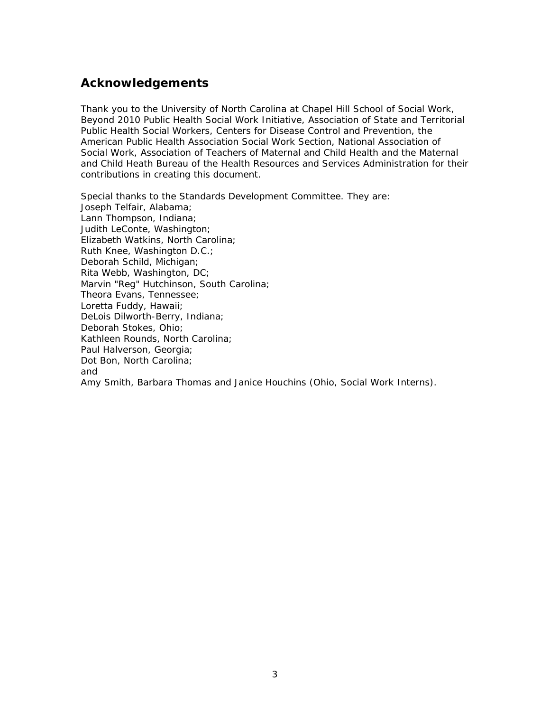### **Acknowledgements**

Thank you to the University of North Carolina at Chapel Hill School of Social Work, Beyond 2010 Public Health Social Work Initiative, Association of State and Territorial Public Health Social Workers, Centers for Disease Control and Prevention, the American Public Health Association Social Work Section, National Association of Social Work, Association of Teachers of Maternal and Child Health and the Maternal and Child Heath Bureau of the Health Resources and Services Administration for their contributions in creating this document.

Special thanks to the Standards Development Committee. They are: Joseph Telfair, Alabama; Lann Thompson, Indiana; Judith LeConte, Washington; Elizabeth Watkins, North Carolina; Ruth Knee, Washington D.C.; Deborah Schild, Michigan; Rita Webb, Washington, DC; Marvin "Reg" Hutchinson, South Carolina; Theora Evans, Tennessee; Loretta Fuddy, Hawaii; DeLois Dilworth-Berry, Indiana; Deborah Stokes, Ohio; Kathleen Rounds, North Carolina; Paul Halverson, Georgia; Dot Bon, North Carolina; and Amy Smith, Barbara Thomas and Janice Houchins (Ohio, Social Work Interns).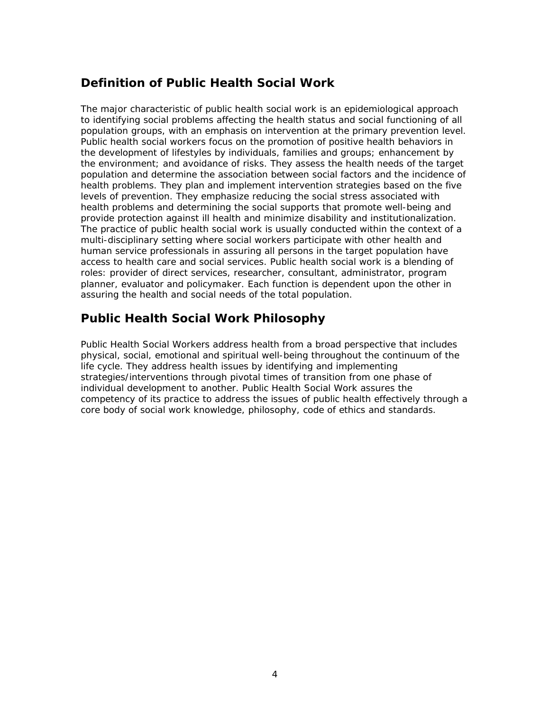### **Definition of Public Health Social Work**

The major characteristic of public health social work is an epidemiological approach to identifying social problems affecting the health status and social functioning of all population groups, with an emphasis on intervention at the primary prevention level. Public health social workers focus on the promotion of positive health behaviors in the development of lifestyles by individuals, families and groups; enhancement by the environment; and avoidance of risks. They assess the health needs of the target population and determine the association between social factors and the incidence of health problems. They plan and implement intervention strategies based on the five levels of prevention. They emphasize reducing the social stress associated with health problems and determining the social supports that promote well-being and provide protection against ill health and minimize disability and institutionalization. The practice of public health social work is usually conducted within the context of a multi-disciplinary setting where social workers participate with other health and human service professionals in assuring all persons in the target population have access to health care and social services. Public health social work is a blending of roles: provider of direct services, researcher, consultant, administrator, program planner, evaluator and policymaker. Each function is dependent upon the other in assuring the health and social needs of the total population.

### **Public Health Social Work Philosophy**

Public Health Social Workers address health from a broad perspective that includes physical, social, emotional and spiritual well-being throughout the continuum of the life cycle. They address health issues by identifying and implementing strategies/interventions through pivotal times of transition from one phase of individual development to another. Public Health Social Work assures the competency of its practice to address the issues of public health effectively through a core body of social work knowledge, philosophy, code of ethics and standards.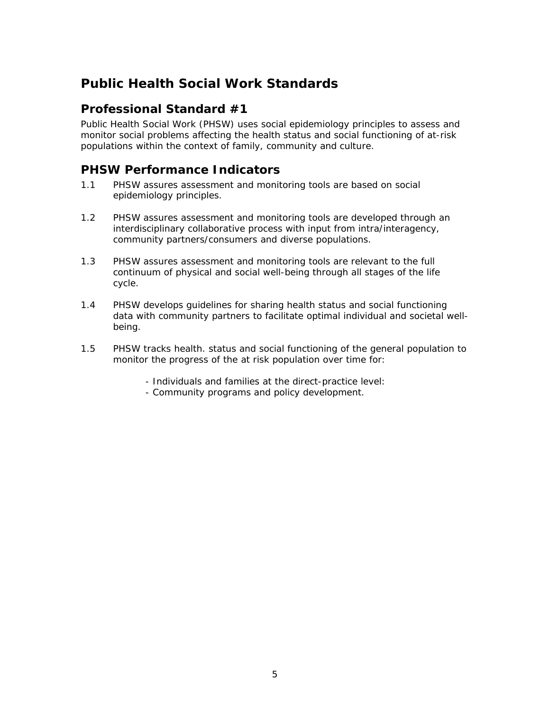# **Public Health Social Work Standards**

#### **Professional Standard #1**

Public Health Social Work (PHSW) uses social epidemiology principles to assess and monitor social problems affecting the health status and social functioning of at-risk populations within the context of family, community and culture.

- 1.1 PHSW assures assessment and monitoring tools are based on social epidemiology principles.
- 1.2 PHSW assures assessment and monitoring tools are developed through an interdisciplinary collaborative process with input from intra/interagency, community partners/consumers and diverse populations.
- 1.3 PHSW assures assessment and monitoring tools are relevant to the full continuum of physical and social well-being through all stages of the life cycle.
- 1.4 PHSW develops guidelines for sharing health status and social functioning data with community partners to facilitate optimal individual and societal wellbeing.
- 1.5 PHSW tracks health. status and social functioning of the general population to monitor the progress of the at risk population over time for:
	- Individuals and families at the direct-practice level:
	- Community programs and policy development.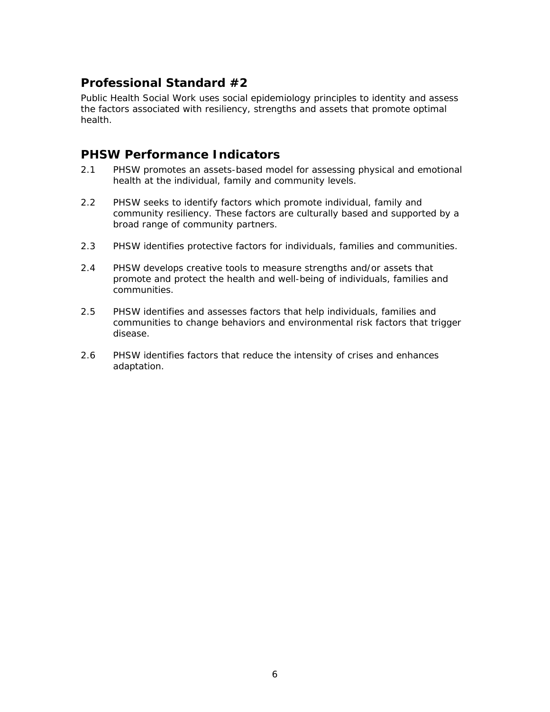Public Health Social Work uses social epidemiology principles to identity and assess the factors associated with resiliency, strengths and assets that promote optimal health.

- 2.1 PHSW promotes an assets-based model for assessing physical and emotional health at the individual, family and community levels.
- 2.2 PHSW seeks to identify factors which promote individual, family and community resiliency. These factors are culturally based and supported by a broad range of community partners.
- 2.3 PHSW identifies protective factors for individuals, families and communities.
- 2.4 PHSW develops creative tools to measure strengths and/or assets that promote and protect the health and well-being of individuals, families and communities.
- 2.5 PHSW identifies and assesses factors that help individuals, families and communities to change behaviors and environmental risk factors that trigger disease.
- 2.6 PHSW identifies factors that reduce the intensity of crises and enhances adaptation.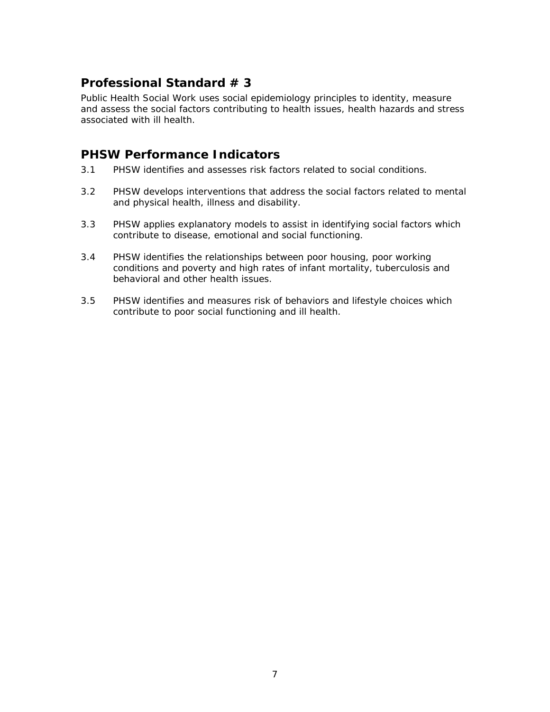Public Health Social Work uses social epidemiology principles to identity, measure and assess the social factors contributing to health issues, health hazards and stress associated with ill health.

- 3.1 PHSW identifies and assesses risk factors related to social conditions.
- 3.2 PHSW develops interventions that address the social factors related to mental and physical health, illness and disability.
- 3.3 PHSW applies explanatory models to assist in identifying social factors which contribute to disease, emotional and social functioning.
- 3.4 PHSW identifies the relationships between poor housing, poor working conditions and poverty and high rates of infant mortality, tuberculosis and behavioral and other health issues.
- 3.5 PHSW identifies and measures risk of behaviors and lifestyle choices which contribute to poor social functioning and ill health.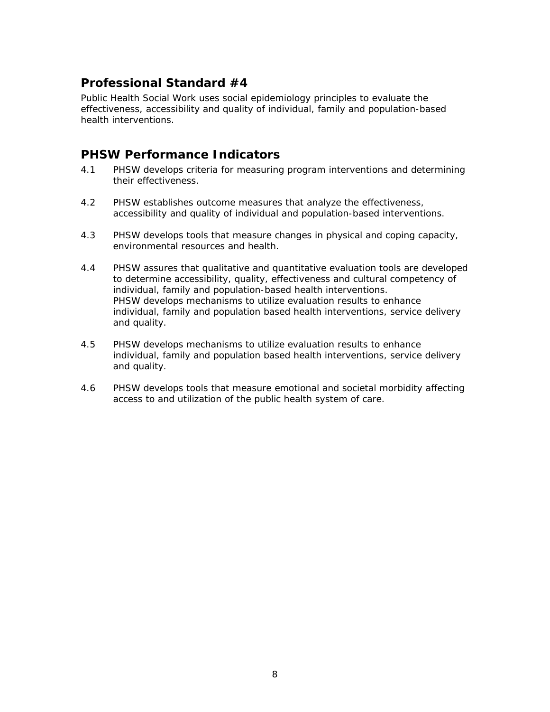Public Health Social Work uses social epidemiology principles to evaluate the effectiveness, accessibility and quality of individual, family and population-based health interventions.

- 4.1 PHSW develops criteria for measuring program interventions and determining their effectiveness.
- 4.2 PHSW establishes outcome measures that analyze the effectiveness, accessibility and quality of individual and population-based interventions.
- 4.3 PHSW develops tools that measure changes in physical and coping capacity, environmental resources and health.
- 4.4 PHSW assures that qualitative and quantitative evaluation tools are developed to determine accessibility, quality, effectiveness and cultural competency of individual, family and population-based health interventions. PHSW develops mechanisms to utilize evaluation results to enhance individual, family and population based health interventions, service delivery and quality.
- 4.5 PHSW develops mechanisms to utilize evaluation results to enhance individual, family and population based health interventions, service delivery and quality.
- 4.6 PHSW develops tools that measure emotional and societal morbidity affecting access to and utilization of the public health system of care.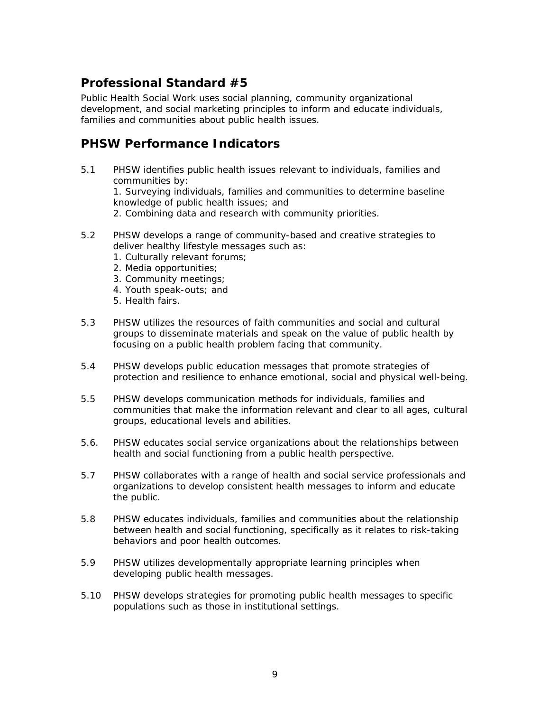Public Health Social Work uses social planning, community organizational development, and social marketing principles to inform and educate individuals, families and communities about public health issues.

#### **PHSW Performance Indicators**

5.1 PHSW identifies public health issues relevant to individuals, families and communities by:

1. Surveying individuals, families and communities to determine baseline knowledge of public health issues; and

2. Combining data and research with community priorities.

- 5.2 PHSW develops a range of community-based and creative strategies to deliver healthy lifestyle messages such as:
	- 1. Culturally relevant forums;
	- 2. Media opportunities;
	- 3. Community meetings;
	- 4. Youth speak-outs; and
	- 5. Health fairs.
- 5.3 PHSW utilizes the resources of faith communities and social and cultural groups to disseminate materials and speak on the value of public health by focusing on a public health problem facing that community.
- 5.4 PHSW develops public education messages that promote strategies of protection and resilience to enhance emotional, social and physical well-being.
- 5.5 PHSW develops communication methods for individuals, families and communities that make the information relevant and clear to all ages, cultural groups, educational levels and abilities.
- 5.6. PHSW educates social service organizations about the relationships between health and social functioning from a public health perspective.
- 5.7 PHSW collaborates with a range of health and social service professionals and organizations to develop consistent health messages to inform and educate the public.
- 5.8 PHSW educates individuals, families and communities about the relationship between health and social functioning, specifically as it relates to risk-taking behaviors and poor health outcomes.
- 5.9 PHSW utilizes developmentally appropriate learning principles when developing public health messages.
- 5.10 PHSW develops strategies for promoting public health messages to specific populations such as those in institutional settings.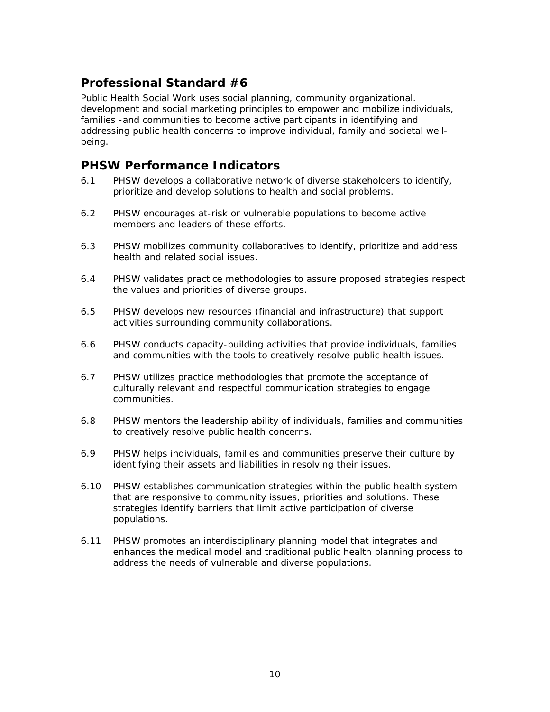Public Health Social Work uses social planning, community organizational. development and social marketing principles to empower and mobilize individuals, families -and communities to become active participants in identifying and addressing public health concerns to improve individual, family and societal wellbeing.

- 6.1 PHSW develops a collaborative network of diverse stakeholders to identify, prioritize and develop solutions to health and social problems.
- 6.2 PHSW encourages at-risk or vulnerable populations to become active members and leaders of these efforts.
- 6.3 PHSW mobilizes community collaboratives to identify, prioritize and address health and related social issues.
- 6.4 PHSW validates practice methodologies to assure proposed strategies respect the values and priorities of diverse groups.
- 6.5 PHSW develops new resources (financial and infrastructure) that support activities surrounding community collaborations.
- 6.6 PHSW conducts capacity-building activities that provide individuals, families and communities with the tools to creatively resolve public health issues.
- 6.7 PHSW utilizes practice methodologies that promote the acceptance of culturally relevant and respectful communication strategies to engage communities.
- 6.8 PHSW mentors the leadership ability of individuals, families and communities to creatively resolve public health concerns.
- 6.9 PHSW helps individuals, families and communities preserve their culture by identifying their assets and liabilities in resolving their issues.
- 6.10 PHSW establishes communication strategies within the public health system that are responsive to community issues, priorities and solutions. These strategies identify barriers that limit active participation of diverse populations.
- 6.11 PHSW promotes an interdisciplinary planning model that integrates and enhances the medical model and traditional public health planning process to address the needs of vulnerable and diverse populations.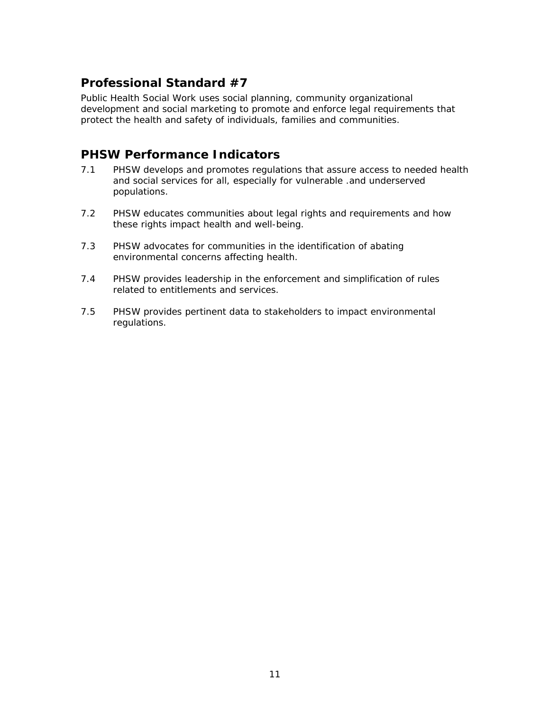Public Health Social Work uses social planning, community organizational development and social marketing to promote and enforce legal requirements that protect the health and safety of individuals, families and communities.

- 7.1 PHSW develops and promotes regulations that assure access to needed health and social services for all, especially for vulnerable .and underserved populations.
- 7.2 PHSW educates communities about legal rights and requirements and how these rights impact health and well-being.
- 7.3 PHSW advocates for communities in the identification of abating environmental concerns affecting health.
- 7.4 PHSW provides leadership in the enforcement and simplification of rules related to entitlements and services.
- 7.5 PHSW provides pertinent data to stakeholders to impact environmental regulations.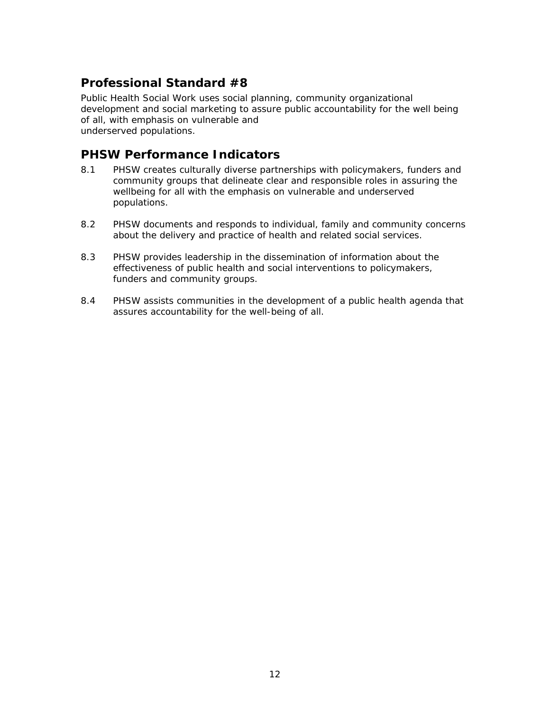Public Health Social Work uses social planning, community organizational development and social marketing to assure public accountability for the well being of all, with emphasis on vulnerable and underserved populations.

- 8.1 PHSW creates culturally diverse partnerships with policymakers, funders and community groups that delineate clear and responsible roles in assuring the wellbeing for all with the emphasis on vulnerable and underserved populations.
- 8.2 PHSW documents and responds to individual, family and community concerns about the delivery and practice of health and related social services.
- 8.3 PHSW provides leadership in the dissemination of information about the effectiveness of public health and social interventions to policymakers, funders and community groups.
- 8.4 PHSW assists communities in the development of a public health agenda that assures accountability for the well-being of all.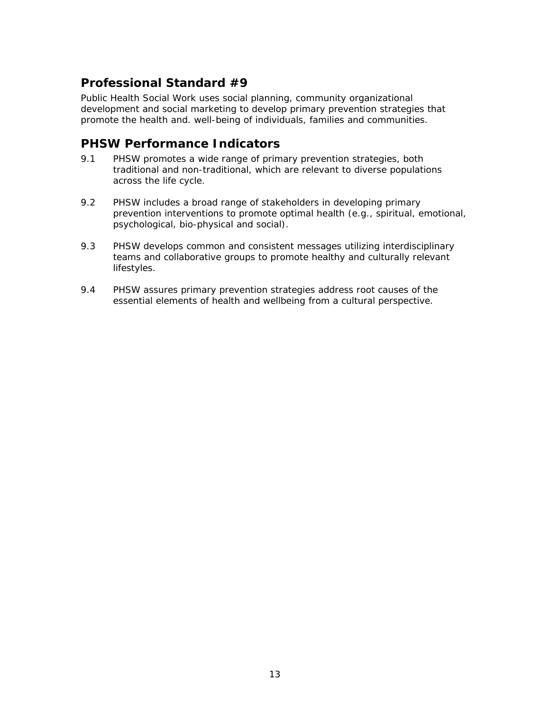Public Health Social Work uses social planning, community organizational development and social marketing to develop primary prevention strategies that promote the health and. well-being of individuals, families and communities.

- 9.1 PHSW promotes a wide range of primary prevention strategies, both traditional and non-traditional, which are relevant to diverse populations across the life cycle.
- 9.2 PHSW includes a broad range of stakeholders in developing primary prevention interventions to promote optimal health (e.g., spiritual, emotional, psychological, bio-physical and social).
- 9.3 PHSW develops common and consistent messages utilizing interdisciplinary teams and collaborative groups to promote healthy and culturally relevant lifestyles.
- 9.4 PHSW assures primary prevention strategies address root causes of the essential elements of health and wellbeing from a cultural perspective.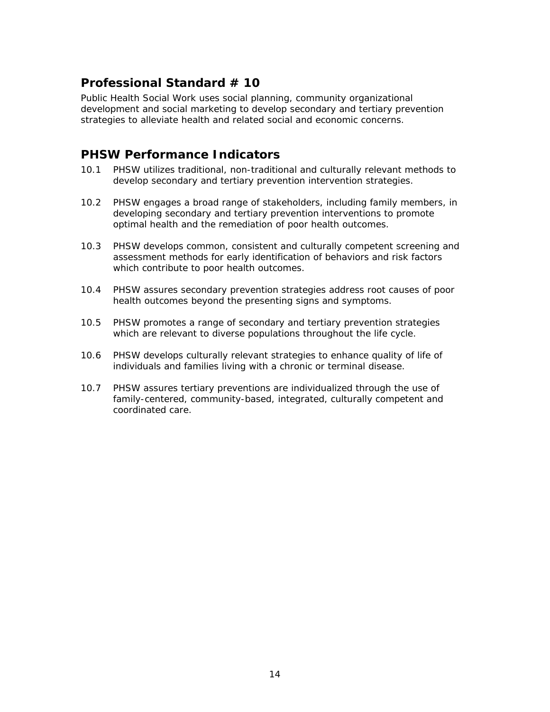Public Health Social Work uses social planning, community organizational development and social marketing to develop secondary and tertiary prevention strategies to alleviate health and related social and economic concerns.

- 10.1 PHSW utilizes traditional, non-traditional and culturally relevant methods to develop secondary and tertiary prevention intervention strategies.
- 10.2 PHSW engages a broad range of stakeholders, including family members, in developing secondary and tertiary prevention interventions to promote optimal health and the remediation of poor health outcomes.
- 10.3 PHSW develops common, consistent and culturally competent screening and assessment methods for early identification of behaviors and risk factors which contribute to poor health outcomes.
- 10.4 PHSW assures secondary prevention strategies address root causes of poor health outcomes beyond the presenting signs and symptoms.
- 10.5 PHSW promotes a range of secondary and tertiary prevention strategies which are relevant to diverse populations throughout the life cycle.
- 10.6 PHSW develops culturally relevant strategies to enhance quality of life of individuals and families living with a chronic or terminal disease.
- 10.7 PHSW assures tertiary preventions are individualized through the use of family-centered, community-based, integrated, culturally competent and coordinated care.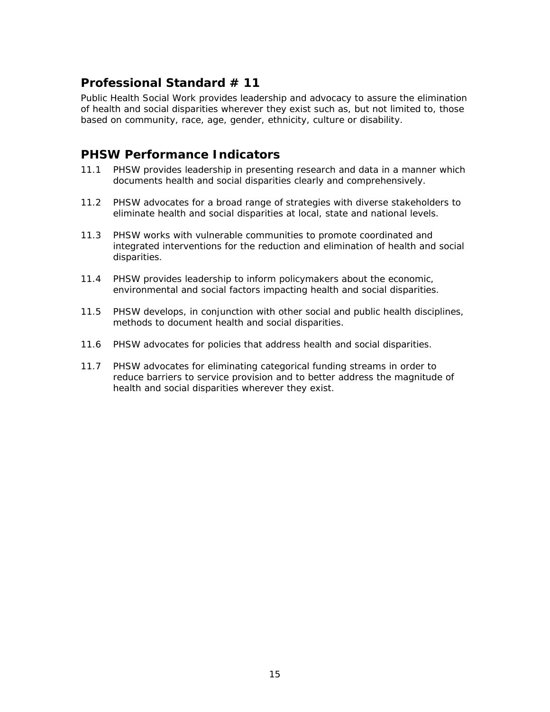Public Health Social Work provides leadership and advocacy to assure the elimination of health and social disparities wherever they exist such as, but not limited to, those based on community, race, age, gender, ethnicity, culture or disability.

- 11.1 PHSW provides leadership in presenting research and data in a manner which documents health and social disparities clearly and comprehensively.
- 11.2 PHSW advocates for a broad range of strategies with diverse stakeholders to eliminate health and social disparities at local, state and national levels.
- 11.3 PHSW works with vulnerable communities to promote coordinated and integrated interventions for the reduction and elimination of health and social disparities.
- 11.4 PHSW provides leadership to inform policymakers about the economic, environmental and social factors impacting health and social disparities.
- 11.5 PHSW develops, in conjunction with other social and public health disciplines, methods to document health and social disparities.
- 11.6 PHSW advocates for policies that address health and social disparities.
- 11.7 PHSW advocates for eliminating categorical funding streams in order to reduce barriers to service provision and to better address the magnitude of health and social disparities wherever they exist.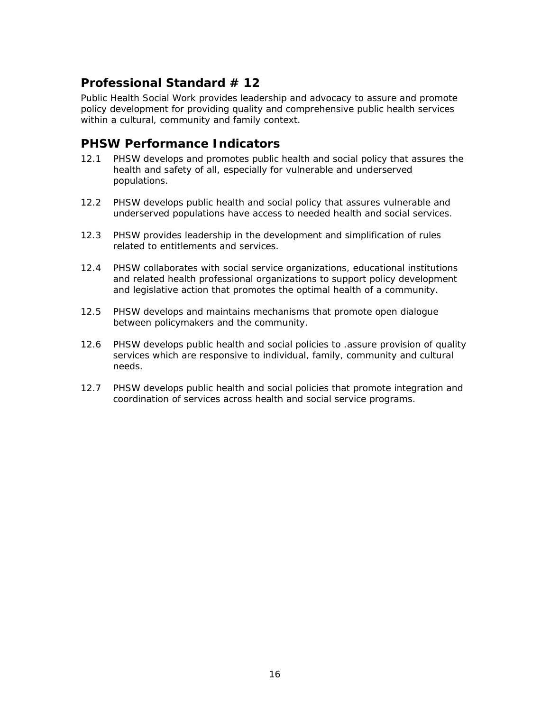Public Health Social Work provides leadership and advocacy to assure and promote policy development for providing quality and comprehensive public health services within a cultural, community and family context.

- 12.1 PHSW develops and promotes public health and social policy that assures the health and safety of all, especially for vulnerable and underserved populations.
- 12.2 PHSW develops public health and social policy that assures vulnerable and underserved populations have access to needed health and social services.
- 12.3 PHSW provides leadership in the development and simplification of rules related to entitlements and services.
- 12.4 PHSW collaborates with social service organizations, educational institutions and related health professional organizations to support policy development and legislative action that promotes the optimal health of a community.
- 12.5 PHSW develops and maintains mechanisms that promote open dialogue between policymakers and the community.
- 12.6 PHSW develops public health and social policies to .assure provision of quality services which are responsive to individual, family, community and cultural needs.
- 12.7 PHSW develops public health and social policies that promote integration and coordination of services across health and social service programs.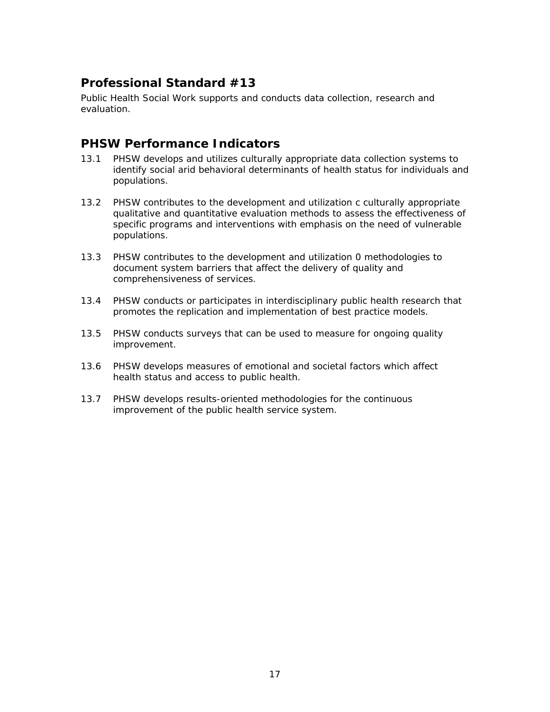Public Health Social Work supports and conducts data collection, research and evaluation.

- 13.1 PHSW develops and utilizes culturally appropriate data collection systems to identify social arid behavioral determinants of health status for individuals and populations.
- 13.2 PHSW contributes to the development and utilization c culturally appropriate qualitative and quantitative evaluation methods to assess the effectiveness of specific programs and interventions with emphasis on the need of vulnerable populations.
- 13.3 PHSW contributes to the development and utilization 0 methodologies to document system barriers that affect the delivery of quality and comprehensiveness of services.
- 13.4 PHSW conducts or participates in interdisciplinary public health research that promotes the replication and implementation of best practice models.
- 13.5 PHSW conducts surveys that can be used to measure for ongoing quality improvement.
- 13.6 PHSW develops measures of emotional and societal factors which affect health status and access to public health.
- 13.7 PHSW develops results-oriented methodologies for the continuous improvement of the public health service system.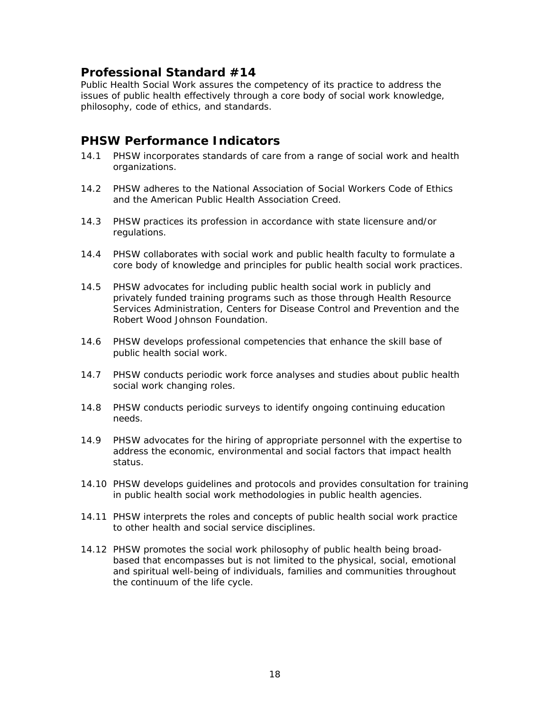Public Health Social Work assures the competency of its practice to address the issues of public health effectively through a core body of social work knowledge, philosophy, code of ethics, and standards.

- 14.1 PHSW incorporates standards of care from a range of social work and health organizations.
- 14.2 PHSW adheres to the National Association of Social Workers Code of Ethics and the American Public Health Association Creed.
- 14.3 PHSW practices its profession in accordance with state licensure and/or regulations.
- 14.4 PHSW collaborates with social work and public health faculty to formulate a core body of knowledge and principles for public health social work practices.
- 14.5 PHSW advocates for including public health social work in publicly and privately funded training programs such as those through Health Resource Services Administration, Centers for Disease Control and Prevention and the Robert Wood Johnson Foundation.
- 14.6 PHSW develops professional competencies that enhance the skill base of public health social work.
- 14.7 PHSW conducts periodic work force analyses and studies about public health social work changing roles.
- 14.8 PHSW conducts periodic surveys to identify ongoing continuing education needs.
- 14.9 PHSW advocates for the hiring of appropriate personnel with the expertise to address the economic, environmental and social factors that impact health status.
- 14.10 PHSW develops guidelines and protocols and provides consultation for training in public health social work methodologies in public health agencies.
- 14.11 PHSW interprets the roles and concepts of public health social work practice to other health and social service disciplines.
- 14.12 PHSW promotes the social work philosophy of public health being broadbased that encompasses but is not limited to the physical, social, emotional and spiritual well-being of individuals, families and communities throughout the continuum of the life cycle.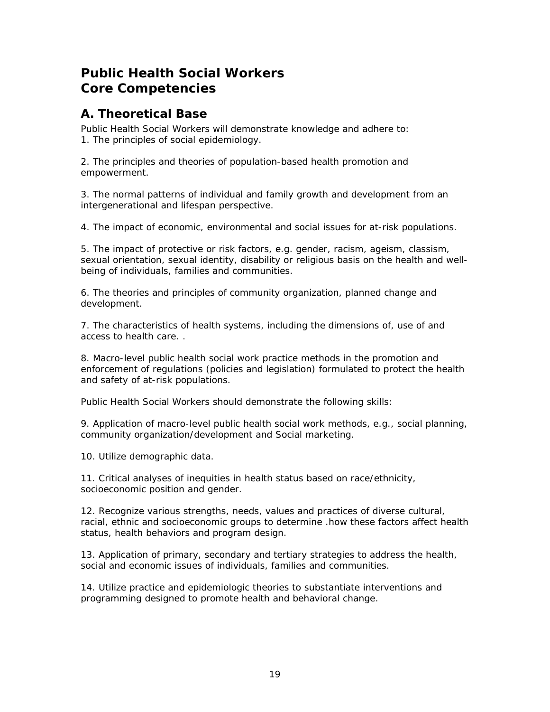# **Public Health Social Workers Core Competencies**

### **A. Theoretical Base**

Public Health Social Workers will demonstrate knowledge and adhere to: 1. The principles of social epidemiology.

2. The principles and theories of population-based health promotion and empowerment.

3. The normal patterns of individual and family growth and development from an intergenerational and lifespan perspective.

4. The impact of economic, environmental and social issues for at-risk populations.

5. The impact of protective or risk factors, e.g. gender, racism, ageism, classism, sexual orientation, sexual identity, disability or religious basis on the health and wellbeing of individuals, families and communities.

6. The theories and principles of community organization, planned change and development.

7. The characteristics of health systems, including the dimensions of, use of and access to health care. .

8. Macro-level public health social work practice methods in the promotion and enforcement of regulations (policies and legislation) formulated to protect the health and safety of at-risk populations.

Public Health Social Workers should demonstrate the following skills:

9. Application of macro-level public health social work methods, e.g., social planning, community organization/development and Social marketing.

10. Utilize demographic data.

11. Critical analyses of inequities in health status based on race/ethnicity, socioeconomic position and gender.

12. Recognize various strengths, needs, values and practices of diverse cultural, racial, ethnic and socioeconomic groups to determine .how these factors affect health status, health behaviors and program design.

13. Application of primary, secondary and tertiary strategies to address the health, social and economic issues of individuals, families and communities.

14. Utilize practice and epidemiologic theories to substantiate interventions and programming designed to promote health and behavioral change.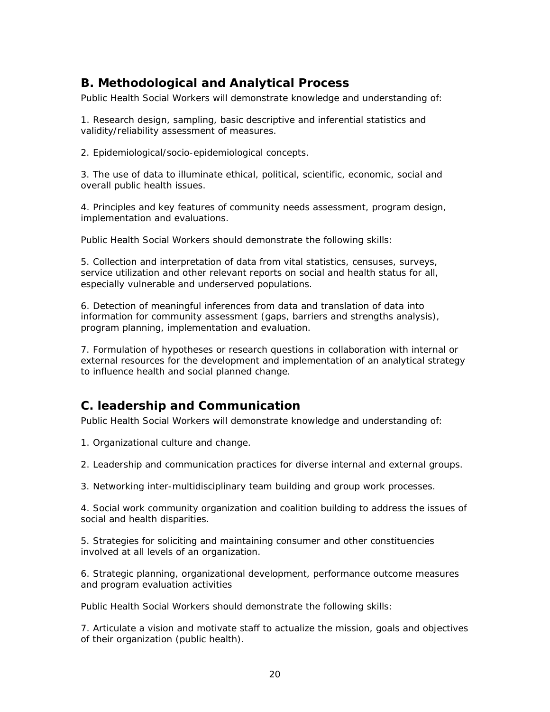# **B. Methodological and Analytical Process**

Public Health Social Workers will demonstrate knowledge and understanding of:

1. Research design, sampling, basic descriptive and inferential statistics and validity/reliability assessment of measures.

2. Epidemiological/socio-epidemiological concepts.

3. The use of data to illuminate ethical, political, scientific, economic, social and overall public health issues.

4. Principles and key features of community needs assessment, program design, implementation and evaluations.

Public Health Social Workers should demonstrate the following skills:

5. Collection and interpretation of data from vital statistics, censuses, surveys, service utilization and other relevant reports on social and health status for all, especially vulnerable and underserved populations.

6. Detection of meaningful inferences from data and translation of data into information for community assessment (gaps, barriers and strengths analysis), program planning, implementation and evaluation.

7. Formulation of hypotheses or research questions in collaboration with internal or external resources for the development and implementation of an analytical strategy to influence health and social planned change.

### **C. leadership and Communication**

Public Health Social Workers will demonstrate knowledge and understanding of:

1. Organizational culture and change.

2. Leadership and communication practices for diverse internal and external groups.

3. Networking inter-multidisciplinary team building and group work processes.

4. Social work community organization and coalition building to address the issues of social and health disparities.

5. Strategies for soliciting and maintaining consumer and other constituencies involved at all levels of an organization.

6. Strategic planning, organizational development, performance outcome measures and program evaluation activities

Public Health Social Workers should demonstrate the following skills:

7. Articulate a vision and motivate staff to actualize the mission, goals and objectives of their organization (public health).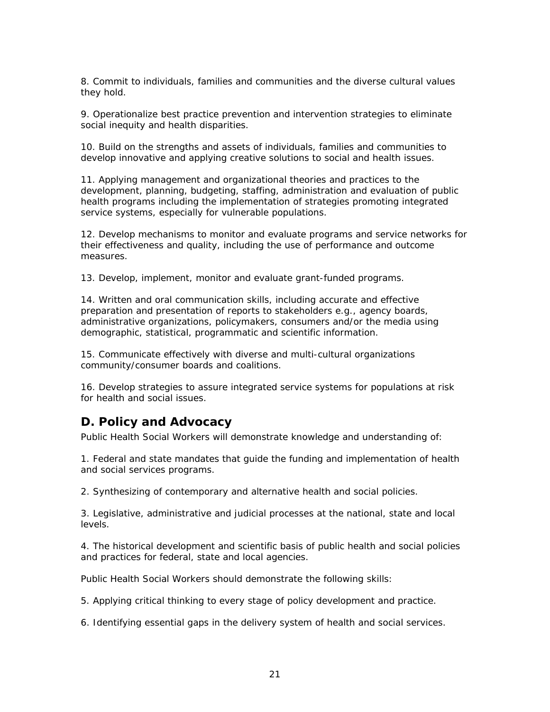8. Commit to individuals, families and communities and the diverse cultural values they hold.

9. Operationalize best practice prevention and intervention strategies to eliminate social inequity and health disparities.

10. Build on the strengths and assets of individuals, families and communities to develop innovative and applying creative solutions to social and health issues.

11. Applying management and organizational theories and practices to the development, planning, budgeting, staffing, administration and evaluation of public health programs including the implementation of strategies promoting integrated service systems, especially for vulnerable populations.

12. Develop mechanisms to monitor and evaluate programs and service networks for their effectiveness and quality, including the use of performance and outcome measures.

13. Develop, implement, monitor and evaluate grant-funded programs.

14. Written and oral communication skills, including accurate and effective preparation and presentation of reports to stakeholders e.g., agency boards, administrative organizations, policymakers, consumers and/or the media using demographic, statistical, programmatic and scientific information.

15. Communicate effectively with diverse and multi-cultural organizations community/consumer boards and coalitions.

16. Develop strategies to assure integrated service systems for populations at risk for health and social issues.

#### **D. Policy and Advocacy**

Public Health Social Workers will demonstrate knowledge and understanding of:

1. Federal and state mandates that guide the funding and implementation of health and social services programs.

2. Synthesizing of contemporary and alternative health and social policies.

3. Legislative, administrative and judicial processes at the national, state and local levels.

4. The historical development and scientific basis of public health and social policies and practices for federal, state and local agencies.

Public Health Social Workers should demonstrate the following skills:

5. Applying critical thinking to every stage of policy development and practice.

6. Identifying essential gaps in the delivery system of health and social services.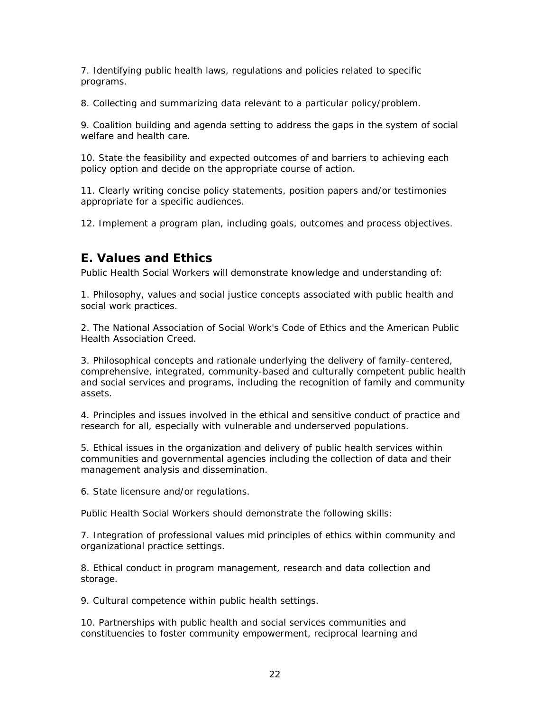7. Identifying public health laws, regulations and policies related to specific programs.

8. Collecting and summarizing data relevant to a particular policy/problem.

9. Coalition building and agenda setting to address the gaps in the system of social welfare and health care.

10. State the feasibility and expected outcomes of and barriers to achieving each policy option and decide on the appropriate course of action.

11. Clearly writing concise policy statements, position papers and/or testimonies appropriate for a specific audiences.

12. Implement a program plan, including goals, outcomes and process objectives.

### **E. Values and Ethics**

Public Health Social Workers will demonstrate knowledge and understanding of:

1. Philosophy, values and social justice concepts associated with public health and social work practices.

2. The National Association of Social Work's Code of Ethics and the American Public Health Association Creed.

3. Philosophical concepts and rationale underlying the delivery of family-centered, comprehensive, integrated, community-based and culturally competent public health and social services and programs, including the recognition of family and community assets.

4. Principles and issues involved in the ethical and sensitive conduct of practice and research for all, especially with vulnerable and underserved populations.

5. Ethical issues in the organization and delivery of public health services within communities and governmental agencies including the collection of data and their management analysis and dissemination.

6. State licensure and/or regulations.

Public Health Social Workers should demonstrate the following skills:

7. Integration of professional values mid principles of ethics within community and organizational practice settings.

8. Ethical conduct in program management, research and data collection and storage.

9. Cultural competence within public health settings.

10. Partnerships with public health and social services communities and constituencies to foster community empowerment, reciprocal learning and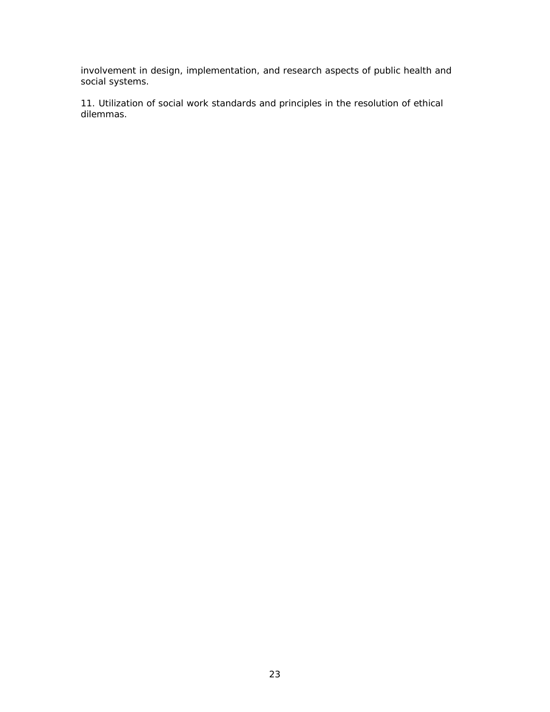involvement in design, implementation, and research aspects of public health and social systems.

11. Utilization of social work standards and principles in the resolution of ethical dilemmas.